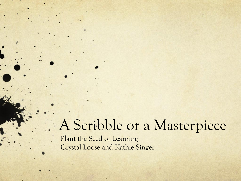## A Scribble or a Masterpiece

Plant the Seed of Learning Crystal Loose and Kathie Singer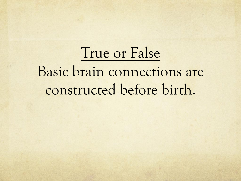# True or False Basic brain connections are constructed before birth.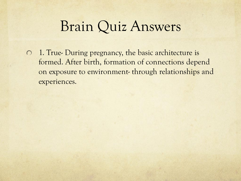1. True- During pregnancy, the basic architecture is  $\bigcirc$ formed. After birth, formation of connections depend on exposure to environment- through relationships and experiences.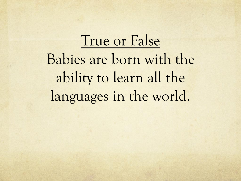True or False Babies are born with the ability to learn all the languages in the world.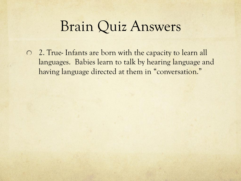2. True- Infants are born with the capacity to learn all languages. Babies learn to talk by hearing language and having language directed at them in "conversation."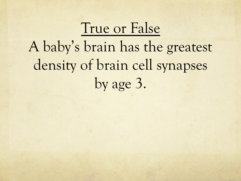# True or False A baby's brain has the greatest density of brain cell synapses by age 3.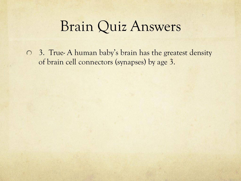3. True- A human baby's brain has the greatest density of brain cell connectors (synapses) by age 3.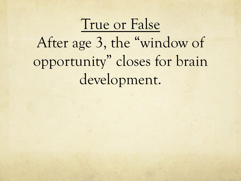### True or False

After age 3, the "window of opportunity" closes for brain development.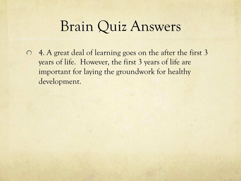4. A great deal of learning goes on the after the first 3  $\bigcirc$ years of life. However, the first 3 years of life are important for laying the groundwork for healthy development.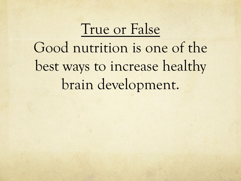# True or False Good nutrition is one of the best ways to increase healthy brain development.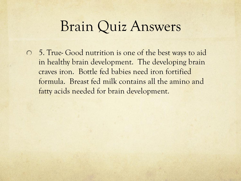5. True- Good nutrition is one of the best ways to aid in healthy brain development. The developing brain craves iron. Bottle fed babies need iron fortified formula. Breast fed milk contains all the amino and fatty acids needed for brain development.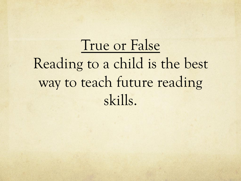True or False Reading to a child is the best way to teach future reading skills.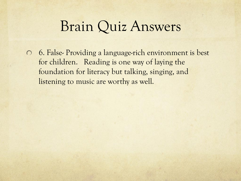6. False- Providing a language-rich environment is best for children. Reading is one way of laying the foundation for literacy but talking, singing, and listening to music are worthy as well.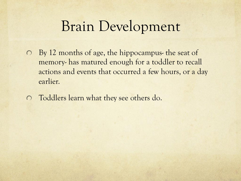### Brain Development

- By 12 months of age, the hippocampus- the seat of  $\bigcirc$ memory- has matured enough for a toddler to recall actions and events that occurred a few hours, or a day earlier.
- Toddlers learn what they see others do.  $\circ$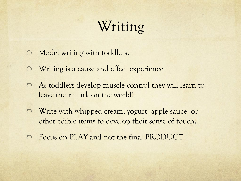## Writing

- Model writing with toddlers.  $\bigcirc$
- Writing is a cause and effect experience  $\bigcirc$
- As toddlers develop muscle control they will learn to  $\circ$ leave their mark on the world!
- Write with whipped cream, yogurt, apple sauce, or  $\bigcirc$ other edible items to develop their sense of touch.
- Focus on PLAY and not the final PRODUCT  $\bigcap$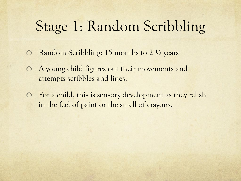## Stage 1: Random Scribbling

- Random Scribbling: 15 months to 2 ½ years  $\bigcirc$
- A young child figures out their movements and  $\bigcirc$ attempts scribbles and lines.
- For a child, this is sensory development as they relish in the feel of paint or the smell of crayons.